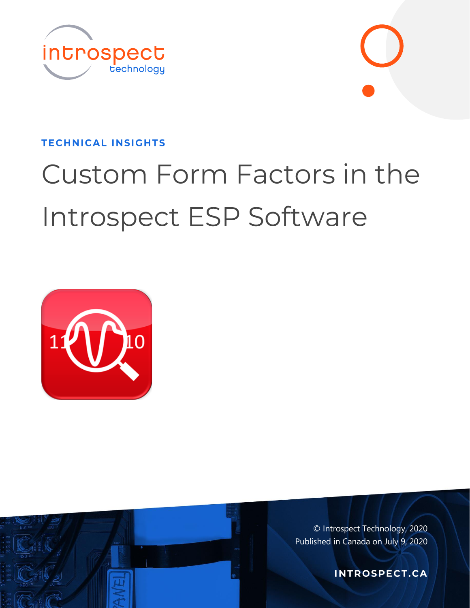



#### **TECHNICAL INSIGHTS**

# Custom Form Factors in the Introspect ESP Software





© Introspect Technology, 2020 Published in Canada on July 9, 2020

**INTROSPECT.CA**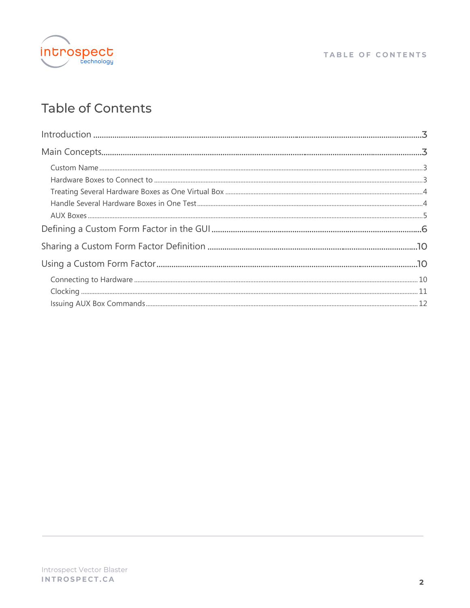

## Table of Contents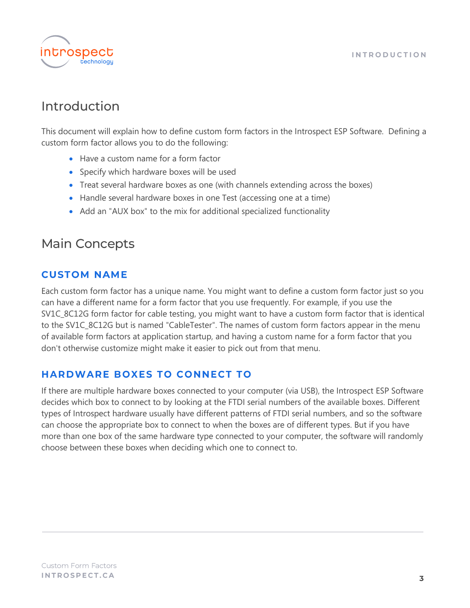

## <span id="page-2-0"></span>Introduction

This document will explain how to define custom form factors in the Introspect ESP Software. Defining a custom form factor allows you to do the following:

- Have a custom name for a form factor
- Specify which hardware boxes will be used
- Treat several hardware boxes as one (with channels extending across the boxes)
- Handle several hardware boxes in one Test (accessing one at a time)
- Add an "AUX box" to the mix for additional specialized functionality

## <span id="page-2-1"></span>**Main Concepts**

#### <span id="page-2-2"></span>**CUSTOM NAME**

Each custom form factor has a unique name. You might want to define a custom form factor just so you can have a different name for a form factor that you use frequently. For example, if you use the SV1C\_8C12G form factor for cable testing, you might want to have a custom form factor that is identical to the SV1C\_8C12G but is named "CableTester". The names of custom form factors appear in the menu of available form factors at application startup, and having a custom name for a form factor that you don't otherwise customize might make it easier to pick out from that menu.

#### <span id="page-2-3"></span>**HARDWARE BOXES TO CONNECT TO**

If there are multiple hardware boxes connected to your computer (via USB), the Introspect ESP Software decides which box to connect to by looking at the FTDI serial numbers of the available boxes. Different types of Introspect hardware usually have different patterns of FTDI serial numbers, and so the software can choose the appropriate box to connect to when the boxes are of different types. But if you have more than one box of the same hardware type connected to your computer, the software will randomly choose between these boxes when deciding which one to connect to.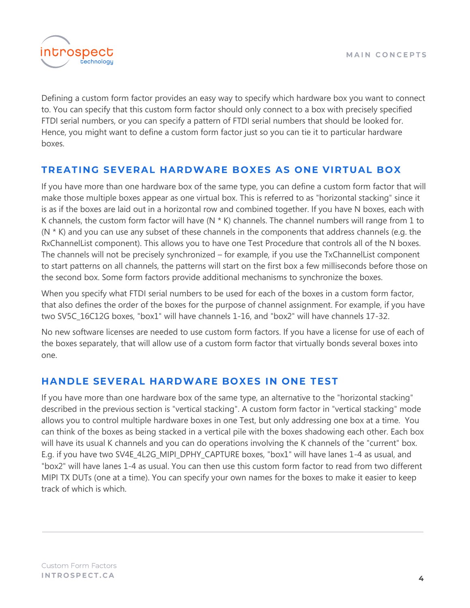

Defining a custom form factor provides an easy way to specify which hardware box you want to connect to. You can specify that this custom form factor should only connect to a box with precisely specified FTDI serial numbers, or you can specify a pattern of FTDI serial numbers that should be looked for. Hence, you might want to define a custom form factor just so you can tie it to particular hardware boxes.

#### <span id="page-3-0"></span>TREATING SEVERAL HARDWARE BOXES AS ONE VIRTUAL BOX

If you have more than one hardware box of the same type, you can define a custom form factor that will make those multiple boxes appear as one virtual box. This is referred to as "horizontal stacking" since it is as if the boxes are laid out in a horizontal row and combined together. If you have N boxes, each with K channels, the custom form factor will have  $(N * K)$  channels. The channel numbers will range from 1 to  $(N * K)$  and you can use any subset of these channels in the components that address channels (e.g. the RxChannelList component). This allows you to have one Test Procedure that controls all of the N boxes. The channels will not be precisely synchronized – for example, if you use the TxChannelList component to start patterns on all channels, the patterns will start on the first box a few milliseconds before those on the second box. Some form factors provide additional mechanisms to synchronize the boxes.

When you specify what FTDI serial numbers to be used for each of the boxes in a custom form factor, that also defines the order of the boxes for the purpose of channel assignment. For example, if you have two SV5C\_16C12G boxes, "box1" will have channels 1-16, and "box2" will have channels 17-32.

No new software licenses are needed to use custom form factors. If you have a license for use of each of the boxes separately, that will allow use of a custom form factor that virtually bonds several boxes into one.

#### <span id="page-3-1"></span>HANDLE SEVERAL HARDWARE BOXES IN ONE TEST

If you have more than one hardware box of the same type, an alternative to the "horizontal stacking" described in the previous section is "vertical stacking". A custom form factor in "vertical stacking" mode allows you to control multiple hardware boxes in one Test, but only addressing one box at a time. You can think of the boxes as being stacked in a vertical pile with the boxes shadowing each other. Each box will have its usual K channels and you can do operations involving the K channels of the "current" box. E.g. if you have two SV4E\_4L2G\_MIPI\_DPHY\_CAPTURE boxes, "box1" will have lanes 1-4 as usual, and "box2" will have lanes 1-4 as usual. You can then use this custom form factor to read from two different MIPI TX DUTs (one at a time). You can specify your own names for the boxes to make it easier to keep track of which is which.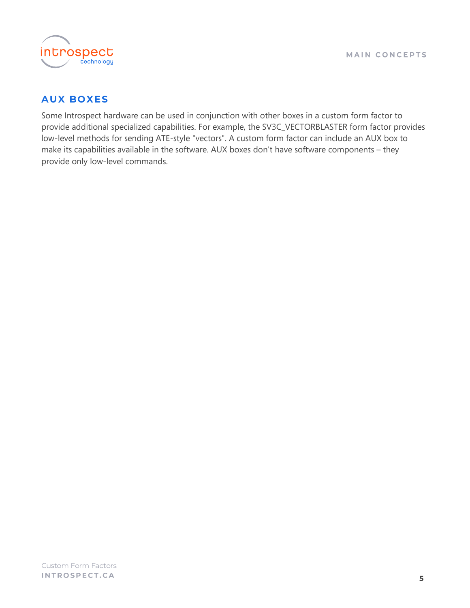

#### <span id="page-4-0"></span>**AUX BOXES**

Some Introspect hardware can be used in conjunction with other boxes in a custom form factor to provide additional specialized capabilities. For example, the SV3C\_VECTORBLASTER form factor provides low-level methods for sending ATE-style "vectors". A custom form factor can include an AUX box to make its capabilities available in the software. AUX boxes don't have software components - they provide only low-level commands.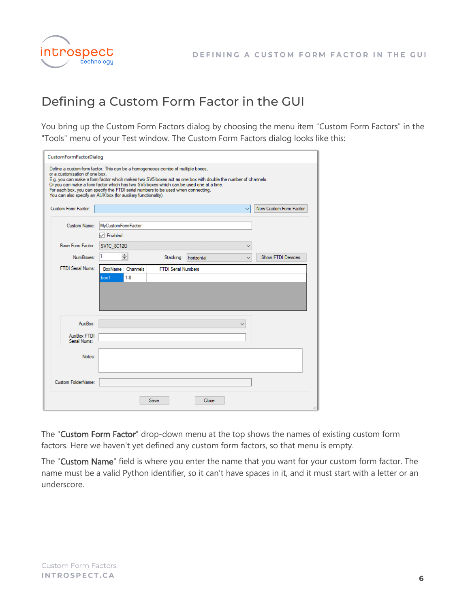



## <span id="page-5-0"></span>Defining a Custom Form Factor in the GUI

You bring up the Custom Form Factors dialog by choosing the menu item "Custom Form Factors" in the "Tools" menu of your Test window. The Custom Form Factors dialog looks like this:

| or a customization of one box.     | Define a custom form factor. This can be a homogeneous combo of multiple boxes,<br>E.g. you can make a form factor which makes two SV5 boxes act as one box with double the number of channels.<br>Or you can make a form factor which has two SV5 boxes which can be used one at a time.<br>For each box, you can specify the FTDI serial numbers to be used when connecting. |                            |                          |
|------------------------------------|--------------------------------------------------------------------------------------------------------------------------------------------------------------------------------------------------------------------------------------------------------------------------------------------------------------------------------------------------------------------------------|----------------------------|--------------------------|
| Custom Form Factor:                | You can also specify an AUX box (for auxiliary functionality).                                                                                                                                                                                                                                                                                                                 | $\checkmark$               | New Custom Form Factor   |
| Custom Name:                       | MvCustomFormFactor                                                                                                                                                                                                                                                                                                                                                             |                            |                          |
|                                    | □ Enabled                                                                                                                                                                                                                                                                                                                                                                      |                            |                          |
| <b>Base Form Factor:</b>           | <b>SV1C 8C12G</b>                                                                                                                                                                                                                                                                                                                                                              | $\checkmark$               |                          |
| NumBoxes:                          | ÷<br>Stacking:                                                                                                                                                                                                                                                                                                                                                                 | horizontal<br>$\checkmark$ | <b>Show FTDI Devices</b> |
|                                    | $1-8$<br>box1                                                                                                                                                                                                                                                                                                                                                                  |                            |                          |
| AuxBox:                            |                                                                                                                                                                                                                                                                                                                                                                                | $\checkmark$               |                          |
| <b>AuxBox FTDI</b><br>Serial Nums: |                                                                                                                                                                                                                                                                                                                                                                                |                            |                          |
| Notes:                             |                                                                                                                                                                                                                                                                                                                                                                                |                            |                          |
| Custom FolderName:                 |                                                                                                                                                                                                                                                                                                                                                                                |                            |                          |

The "Custom Form Factor" drop-down menu at the top shows the names of existing custom form factors. Here we haven't yet defined any custom form factors, so that menu is empty.

The "Custom Name" field is where you enter the name that you want for your custom form factor. The name must be a valid Python identifier, so it can't have spaces in it, and it must start with a letter or an underscore.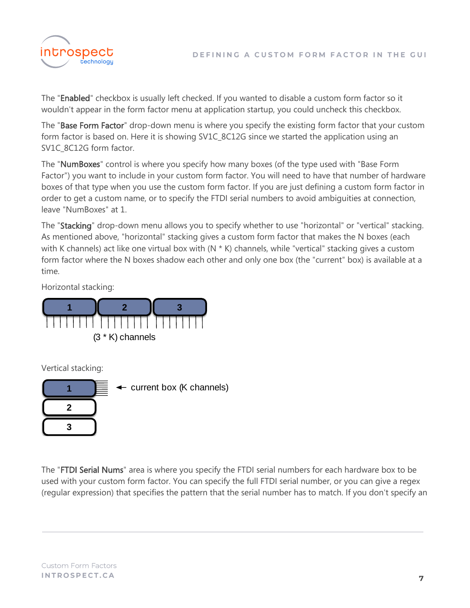

The "Enabled" checkbox is usually left checked. If you wanted to disable a custom form factor so it wouldn't appear in the form factor menu at application startup, you could uncheck this checkbox.

The "Base Form Factor" drop-down menu is where you specify the existing form factor that your custom form factor is based on. Here it is showing SV1C\_8C12G since we started the application using an SV1C 8C12G form factor.

The "NumBoxes" control is where you specify how many boxes (of the type used with "Base Form Factor") you want to include in your custom form factor. You will need to have that number of hardware boxes of that type when you use the custom form factor. If you are just defining a custom form factor in order to get a custom name, or to specify the FTDI serial numbers to avoid ambiguities at connection, leave "NumBoxes" at 1.

The "Stacking" drop-down menu allows you to specify whether to use "horizontal" or "vertical" stacking. As mentioned above, "horizontal" stacking gives a custom form factor that makes the N boxes (each with K channels) act like one virtual box with  $(N * K)$  channels, while "vertical" stacking gives a custom form factor where the N boxes shadow each other and only one box (the "current" box) is available at a time.

Horizontal stacking:



Vertical stacking:



The "FTDI Serial Nums" area is where you specify the FTDI serial numbers for each hardware box to be used with your custom form factor. You can specify the full FTDI serial number, or you can give a regex (regular expression) that specifies the pattern that the serial number has to match. If you don't specify an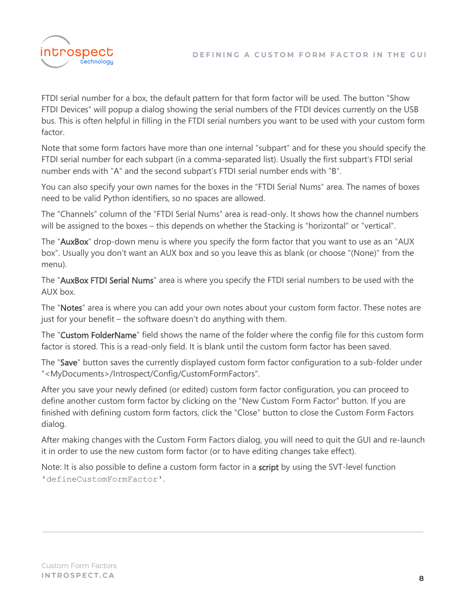

FTDI serial number for a box, the default pattern for that form factor will be used. The button "Show FTDI Devices" will popup a dialog showing the serial numbers of the FTDI devices currently on the USB bus. This is often helpful in filling in the FTDI serial numbers you want to be used with your custom form factor.

Note that some form factors have more than one internal "subpart" and for these you should specify the FTDI serial number for each subpart (in a comma-separated list). Usually the first subpart's FTDI serial number ends with "A" and the second subpart's FTDI serial number ends with "B".

You can also specify your own names for the boxes in the "FTDI Serial Nums" area. The names of boxes need to be valid Python identifiers, so no spaces are allowed.

The "Channels" column of the "FTDI Serial Nums" area is read-only. It shows how the channel numbers will be assigned to the boxes – this depends on whether the Stacking is "horizontal" or "vertical".

The "AuxBox" drop-down menu is where you specify the form factor that you want to use as an "AUX box". Usually you don't want an AUX box and so you leave this as blank (or choose "(None)" from the menu).

The "AuxBox FTDI Serial Nums" area is where you specify the FTDI serial numbers to be used with the AUX box.

The "Notes" area is where you can add your own notes about your custom form factor. These notes are just for your benefit – the software doesn't do anything with them.

The "Custom FolderName" field shows the name of the folder where the config file for this custom form factor is stored. This is a read-only field. It is blank until the custom form factor has been saved.

The "Save" button saves the currently displayed custom form factor configuration to a sub-folder under "<MyDocuments>/Introspect/Config/CustomFormFactors".

After you save your newly defined (or edited) custom form factor configuration, you can proceed to define another custom form factor by clicking on the "New Custom Form Factor" button. If you are finished with defining custom form factors, click the "Close" button to close the Custom Form Factors dialog.

After making changes with the Custom Form Factors dialog, you will need to quit the GUI and re-launch it in order to use the new custom form factor (or to have editing changes take effect).

Note: It is also possible to define a custom form factor in a script by using the SVT-level function 'defineCustomFormFactor'.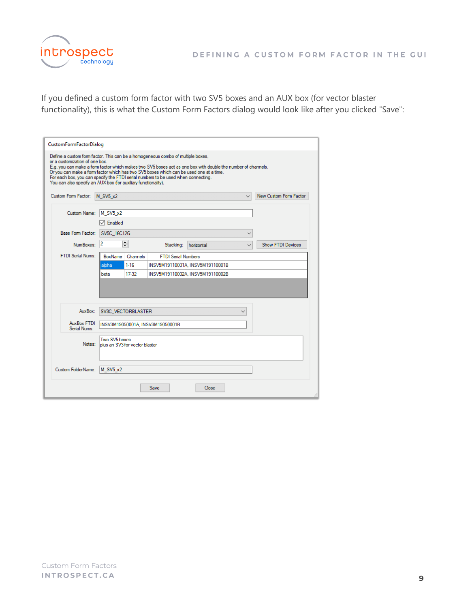

If you defined a custom form factor with two SV5 boxes and an AUX box (for vector blaster functionality), this is what the Custom Form Factors dialog would look like after you clicked "Save":

| <b>CustomFormFactorDialog</b>                                                                                                                                                                                                                                                                                                                                                                                                                                                      |                                                 |                            |                                  |              |                          |
|------------------------------------------------------------------------------------------------------------------------------------------------------------------------------------------------------------------------------------------------------------------------------------------------------------------------------------------------------------------------------------------------------------------------------------------------------------------------------------|-------------------------------------------------|----------------------------|----------------------------------|--------------|--------------------------|
| Define a custom form factor. This can be a homogeneous combo of multiple boxes,<br>or a customization of one box.<br>E.g. you can make a form factor which makes two SV5 boxes act as one box with double the number of channels.<br>Or you can make a form factor which has two SV5 boxes which can be used one at a time.<br>For each box, you can specify the FTDI serial numbers to be used when connecting.<br>You can also specify an AUX box ffor auxiliary functionality). |                                                 |                            |                                  |              |                          |
| Custom Form Factor: M SV5 x2                                                                                                                                                                                                                                                                                                                                                                                                                                                       |                                                 |                            |                                  | $\checkmark$ | New Custom Form Factor   |
| Custom Name:                                                                                                                                                                                                                                                                                                                                                                                                                                                                       | M SV5 x2                                        |                            |                                  |              |                          |
|                                                                                                                                                                                                                                                                                                                                                                                                                                                                                    | $\triangledown$ Enabled                         |                            |                                  |              |                          |
| <b>Base Form Factor:</b>                                                                                                                                                                                                                                                                                                                                                                                                                                                           | SV5C 16C12G                                     |                            |                                  |              |                          |
| NumBoxes:                                                                                                                                                                                                                                                                                                                                                                                                                                                                          | ÷<br>12                                         | Stacking:                  | horizontal                       |              | <b>Show FTDI Devices</b> |
| <b>FTDI Serial Nums:</b>                                                                                                                                                                                                                                                                                                                                                                                                                                                           | BoxName<br>Channels                             | <b>FTDI Serial Numbers</b> |                                  |              |                          |
|                                                                                                                                                                                                                                                                                                                                                                                                                                                                                    | $1-16$<br>alpha                                 |                            | INSV5M19110001A. INSV5M19110001B |              |                          |
|                                                                                                                                                                                                                                                                                                                                                                                                                                                                                    | 17-32<br>beta                                   |                            | INSV5M19110002A. INSV5M19110002B |              |                          |
|                                                                                                                                                                                                                                                                                                                                                                                                                                                                                    |                                                 |                            |                                  |              |                          |
| AuxBox:                                                                                                                                                                                                                                                                                                                                                                                                                                                                            | SV3C_VECTORBLASTER                              |                            |                                  | $\checkmark$ |                          |
| AuxBox FTDI<br>Serial Nums:                                                                                                                                                                                                                                                                                                                                                                                                                                                        | INSV3M19050001A. INSV3M19050001B                |                            |                                  |              |                          |
| Notes:                                                                                                                                                                                                                                                                                                                                                                                                                                                                             | Two SV5 boxes<br>plus an SV3 for vector blaster |                            |                                  |              |                          |
| Custom FolderName:                                                                                                                                                                                                                                                                                                                                                                                                                                                                 | M SV5 x2                                        |                            |                                  |              |                          |
|                                                                                                                                                                                                                                                                                                                                                                                                                                                                                    |                                                 | Save                       | Close                            |              |                          |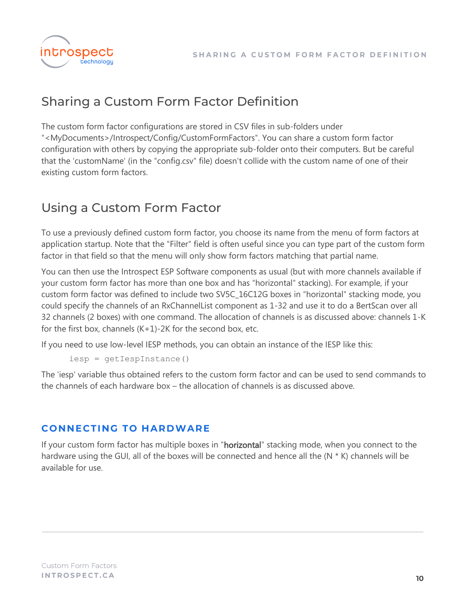

## <span id="page-9-0"></span>**Sharing a Custom Form Factor Definition**

The custom form factor configurations are stored in CSV files in sub-folders under "<MyDocuments>/Introspect/Config/CustomFormFactors". You can share a custom form factor configuration with others by copying the appropriate sub-folder onto their computers. But be careful that the 'customName' (in the "config.csv" file) doesn't collide with the custom name of one of their existing custom form factors.

### <span id="page-9-1"></span>Using a Custom Form Factor

To use a previously defined custom form factor, you choose its name from the menu of form factors at application startup. Note that the "Filter" field is often useful since you can type part of the custom form factor in that field so that the menu will only show form factors matching that partial name.

You can then use the Introspect ESP Software components as usual (but with more channels available if your custom form factor has more than one box and has "horizontal" stacking). For example, if your custom form factor was defined to include two SV5C\_16C12G boxes in "horizontal" stacking mode, you could specify the channels of an RxChannelList component as 1-32 and use it to do a BertScan over all 32 channels (2 boxes) with one command. The allocation of channels is as discussed above: channels 1-K for the first box, channels  $(K+1)$ -2K for the second box, etc.

If you need to use low-level IESP methods, you can obtain an instance of the IESP like this:

```
iesp = getIespInstance()
```
The 'iesp' variable thus obtained refers to the custom form factor and can be used to send commands to the channels of each hardware box – the allocation of channels is as discussed above.

#### <span id="page-9-2"></span>**CONNECTING TO HARDWARE**

If your custom form factor has multiple boxes in "horizontal" stacking mode, when you connect to the hardware using the GUI, all of the boxes will be connected and hence all the (N \* K) channels will be available for use.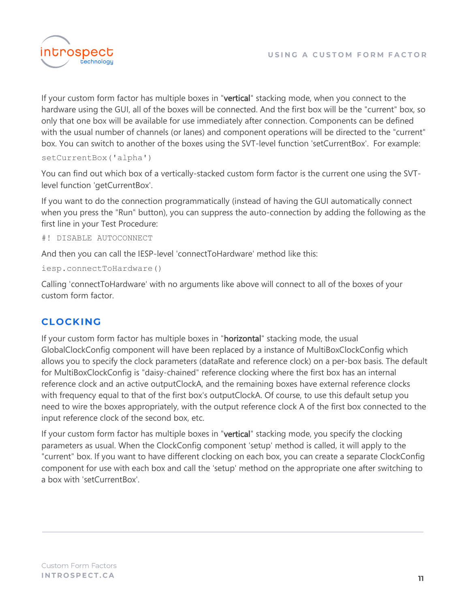

If your custom form factor has multiple boxes in "vertical" stacking mode, when you connect to the hardware using the GUI, all of the boxes will be connected. And the first box will be the "current" box, so only that one box will be available for use immediately after connection. Components can be defined with the usual number of channels (or lanes) and component operations will be directed to the "current" box. You can switch to another of the boxes using the SVT-level function 'setCurrentBox'. For example:

```
setCurrentBox('alpha')
```
You can find out which box of a vertically-stacked custom form factor is the current one using the SVTlevel function 'getCurrentBox'.

If you want to do the connection programmatically (instead of having the GUI automatically connect when you press the "Run" button), you can suppress the auto-connection by adding the following as the first line in your Test Procedure:

```
#! DISABLE AUTOCONNECT
```
And then you can call the IESP-level 'connectToHardware' method like this:

```
iesp.connectToHardware()
```
Calling 'connectToHardware' with no arguments like above will connect to all of the boxes of your custom form factor.

#### <span id="page-10-0"></span>**CLOCKING**

If your custom form factor has multiple boxes in "horizontal" stacking mode, the usual GlobalClockConfig component will have been replaced by a instance of MultiBoxClockConfig which allows you to specify the clock parameters (dataRate and reference clock) on a per-box basis. The default for MultiBoxClockConfig is "daisy-chained" reference clocking where the first box has an internal reference clock and an active outputClockA, and the remaining boxes have external reference clocks with frequency equal to that of the first box's outputClockA. Of course, to use this default setup you need to wire the boxes appropriately, with the output reference clock A of the first box connected to the input reference clock of the second box, etc.

If your custom form factor has multiple boxes in "vertical" stacking mode, you specify the clocking parameters as usual. When the ClockConfig component 'setup' method is called, it will apply to the "current" box. If you want to have different clocking on each box, you can create a separate ClockConfig component for use with each box and call the 'setup' method on the appropriate one after switching to a box with 'setCurrentBox'.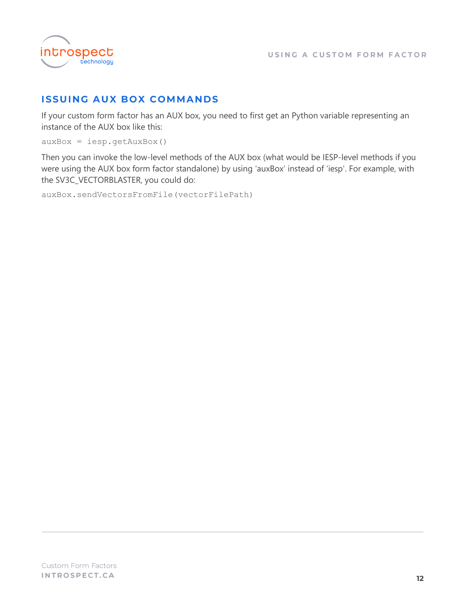

#### <span id="page-11-0"></span>**ISSUING AUX BOX COMMANDS**

If your custom form factor has an AUX box, you need to first get an Python variable representing an instance of the AUX box like this:

 $auxBox = iesp.getAuxBox()$ 

Then you can invoke the low-level methods of the AUX box (what would be IESP-level methods if you were using the AUX box form factor standalone) by using 'auxBox' instead of 'iesp'. For example, with the SV3C\_VECTORBLASTER, you could do:

auxBox.sendVectorsFromFile(vectorFilePath)